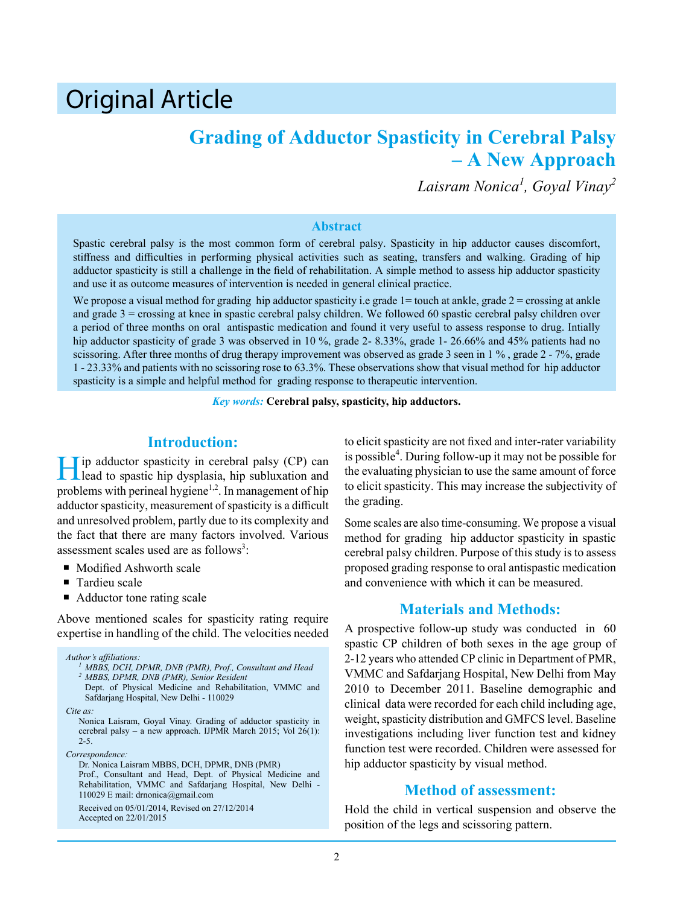# Original Article

# **Grading of Adductor Spasticity in Cerebral Palsy – A New Approach**

*Laisram Nonica<sup>1</sup> , Goyal Vinay2*

#### **Abstract**

Spastic cerebral palsy is the most common form of cerebral palsy. Spasticity in hip adductor causes discomfort, stiffness and difficulties in performing physical activities such as seating, transfers and walking. Grading of hip adductor spasticity is still a challenge in the field of rehabilitation. A simple method to assess hip adductor spasticity and use it as outcome measures of intervention is needed in general clinical practice.

We propose a visual method for grading hip adductor spasticity i.e grade  $1=$  touch at ankle, grade  $2=$  crossing at ankle and grade 3 = crossing at knee in spastic cerebral palsy children. We followed 60 spastic cerebral palsy children over a period of three months on oral antispastic medication and found it very useful to assess response to drug. Intially hip adductor spasticity of grade 3 was observed in 10 %, grade 2- 8.33%, grade 1- 26.66% and 45% patients had no scissoring. After three months of drug therapy improvement was observed as grade 3 seen in  $1\%$ , grade  $2 - 7\%$ , grade 1 - 23.33% and patients with no scissoring rose to 63.3%. These observations show that visual method for hip adductor spasticity is a simple and helpful method for grading response to therapeutic intervention.

*Key words:* **Cerebral palsy, spasticity, hip adductors.**

### **Introduction:**

Hip adductor spasticity in cerebral palsy (CP) can lead to spastic hip dysplasia, hip subluxation and problems with perineal hygiene<sup>1,2</sup>. In management of hip adductor spasticity, measurement of spasticity is a difficult and unresolved problem, partly due to its complexity and the fact that there are many factors involved. Various assessment scales used are as follows<sup>3</sup>:

- **Modified Ashworth scale**
- Tardieu scale
- Adductor tone rating scale

Above mentioned scales for spasticity rating require expertise in handling of the child. The velocities needed

*Author's affiliations: <sup>1</sup> MBBS, DCH, DPMR, DNB (PMR), Prof., Consultant and Head <sup>2</sup> MBBS, DPMR, DNB (PMR), Senior Resident* Dept. of Physical Medicine and Rehabilitation, VMMC and Safdarjang Hospital, New Delhi - 110029 *Cite as:* Nonica Laisram, Goyal Vinay. Grading of adductor spasticity in cerebral palsy – a new approach. IJPMR March 2015; Vol 26(1): 2-5.

*Correspondence:*

Dr. Nonica Laisram MBBS, DCH, DPMR, DNB (PMR) Prof., Consultant and Head, Dept. of Physical Medicine and Rehabilitation, VMMC and Safdarjang Hospital, New Delhi - 110029 E mail: drnonica@gmail.com

Received on 05/01/2014, Revised on 27/12/2014 Accepted on 22/01/2015

to elicit spasticity are not fixed and inter-rater variability is possible<sup>4</sup>. During follow-up it may not be possible for the evaluating physician to use the same amount of force to elicit spasticity. This may increase the subjectivity of the grading.

Some scales are also time-consuming. We propose a visual method for grading hip adductor spasticity in spastic cerebral palsy children. Purpose of this study is to assess proposed grading response to oral antispastic medication and convenience with which it can be measured.

## **Materials and Methods:**

A prospective follow-up study was conducted in 60 spastic CP children of both sexes in the age group of 2-12 years who attended CP clinic in Department of PMR, VMMC and Safdarjang Hospital, New Delhi from May 2010 to December 2011. Baseline demographic and clinical data were recorded for each child including age, weight, spasticity distribution and GMFCS level. Baseline investigations including liver function test and kidney function test were recorded. Children were assessed for hip adductor spasticity by visual method.

#### **Method of assessment:**

Hold the child in vertical suspension and observe the position of the legs and scissoring pattern.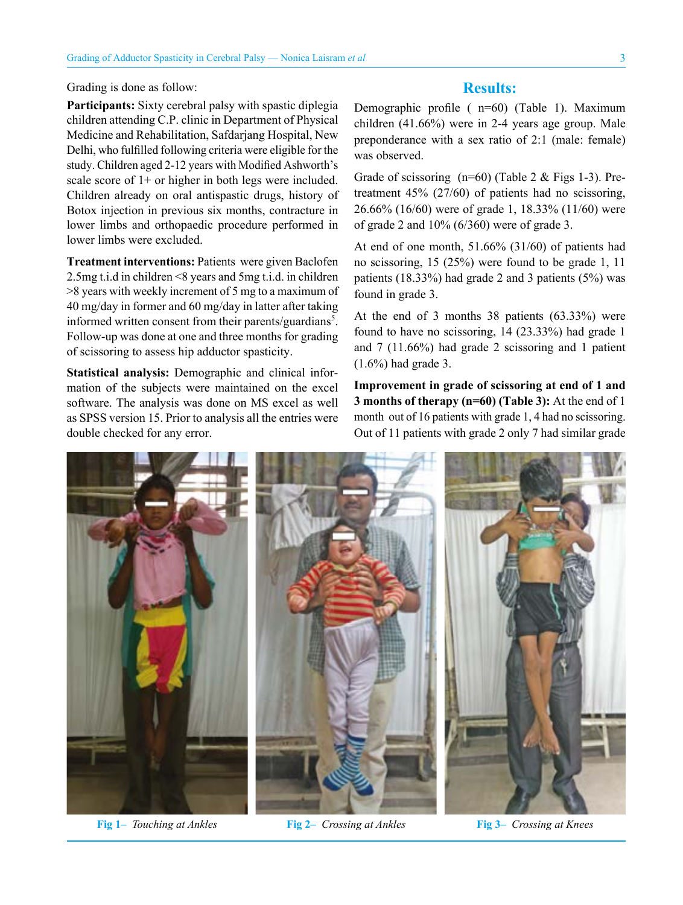Grading is done as follow:

**Participants:** Sixty cerebral palsy with spastic diplegia children attending C.P. clinic in Department of Physical Medicine and Rehabilitation, Safdarjang Hospital, New Delhi, who fulfilled following criteria were eligible for the study. Children aged 2-12 years with Modified Ashworth's scale score of  $1+$  or higher in both legs were included. Children already on oral antispastic drugs, history of Botox injection in previous six months, contracture in lower limbs and orthopaedic procedure performed in lower limbs were excluded.

**Treatment interventions:** Patients were given Baclofen 2.5mg t.i.d in children <8 years and 5mg t.i.d. in children >8 years with weekly increment of 5 mg to a maximum of 40 mg/day in former and 60 mg/day in latter after taking informed written consent from their parents/guardians<sup>5</sup>. Follow-up was done at one and three months for grading of scissoring to assess hip adductor spasticity.

**Statistical analysis:** Demographic and clinical information of the subjects were maintained on the excel software. The analysis was done on MS excel as well as SPSS version 15. Prior to analysis all the entries were double checked for any error.

#### **Results:**

Demographic profile ( n=60) (Table 1). Maximum children (41.66%) were in 2-4 years age group. Male preponderance with a sex ratio of 2:1 (male: female) was observed.

Grade of scissoring  $(n=60)$  (Table 2 & Figs 1-3). Pretreatment 45% (27/60) of patients had no scissoring, 26.66% (16/60) were of grade 1, 18.33% (11/60) were of grade 2 and 10% (6/360) were of grade 3.

At end of one month, 51.66% (31/60) of patients had no scissoring, 15 (25%) were found to be grade 1, 11 patients (18.33%) had grade 2 and 3 patients (5%) was found in grade 3.

At the end of 3 months 38 patients (63.33%) were found to have no scissoring, 14 (23.33%) had grade 1 and 7 (11.66%) had grade 2 scissoring and 1 patient (1.6%) had grade 3.

**Improvement in grade of scissoring at end of 1 and 3 months of therapy (n=60) (Table 3):** At the end of 1 month out of 16 patients with grade 1, 4 had no scissoring. Out of 11 patients with grade 2 only 7 had similar grade



**Fig 1–** *Touching at Ankles* **Fig 2–** *Crossing at Ankles* **Fig 3–** *Crossing at Knees*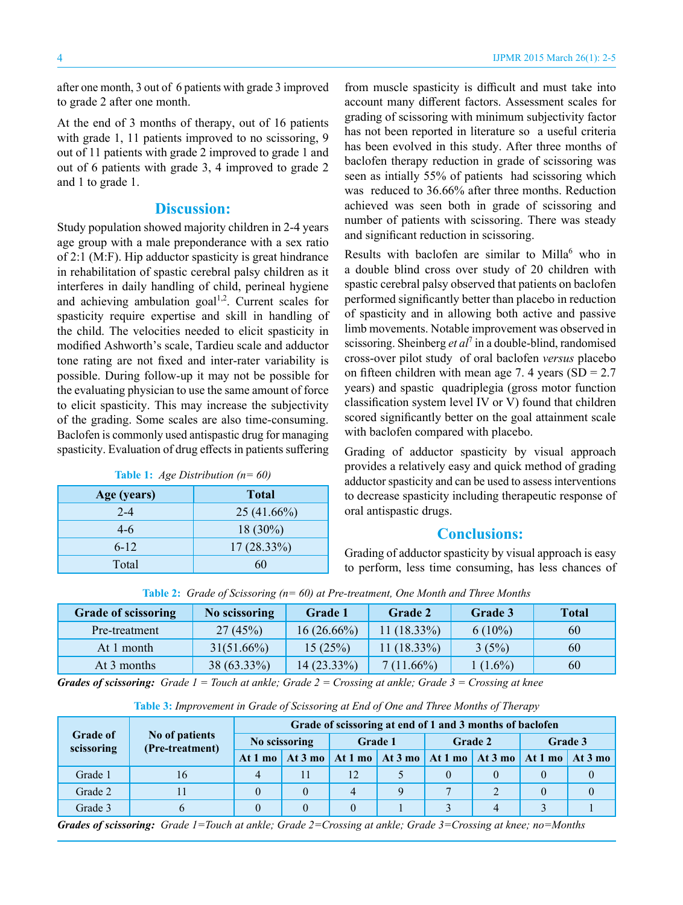after one month, 3 out of 6 patients with grade 3 improved to grade 2 after one month.

At the end of 3 months of therapy, out of 16 patients with grade 1, 11 patients improved to no scissoring, 9 out of 11 patients with grade 2 improved to grade 1 and out of 6 patients with grade 3, 4 improved to grade 2 and 1 to grade 1.

#### **Discussion:**

Study population showed majority children in 2-4 years age group with a male preponderance with a sex ratio of 2:1 (M:F). Hip adductor spasticity is great hindrance in rehabilitation of spastic cerebral palsy children as it interferes in daily handling of child, perineal hygiene and achieving ambulation goal<sup>1,2</sup>. Current scales for spasticity require expertise and skill in handling of the child. The velocities needed to elicit spasticity in modified Ashworth's scale, Tardieu scale and adductor tone rating are not fixed and inter-rater variability is possible. During follow-up it may not be possible for the evaluating physician to use the same amount of force to elicit spasticity. This may increase the subjectivity of the grading. Some scales are also time-consuming. Baclofen is commonly used antispastic drug for managing spasticity. Evaluation of drug effects in patients suffering

| $\cdot$     |               |
|-------------|---------------|
| Age (years) | Total         |
| $2 - 4$     | $25(41.66\%)$ |
| $4-6$       | $18(30\%)$    |
| $6 - 12$    | $17(28.33\%)$ |
| Total       | 60            |

**Table 1:** *Age Distribution (n= 60)*

from muscle spasticity is difficult and must take into account many different factors. Assessment scales for grading of scissoring with minimum subjectivity factor has not been reported in literature so a useful criteria has been evolved in this study. After three months of baclofen therapy reduction in grade of scissoring was seen as intially 55% of patients had scissoring which was reduced to 36.66% after three months. Reduction achieved was seen both in grade of scissoring and number of patients with scissoring. There was steady and significant reduction in scissoring.

Results with baclofen are similar to Milla<sup>6</sup> who in a double blind cross over study of 20 children with spastic cerebral palsy observed that patients on baclofen performed significantly better than placebo in reduction of spasticity and in allowing both active and passive limb movements. Notable improvement was observed in scissoring. Sheinberg et al<sup>7</sup> in a double-blind, randomised cross-over pilot study of oral baclofen *versus* placebo on fifteen children with mean age 7. 4 years  $(SD = 2.7)$ years) and spastic quadriplegia (gross motor function classification system level IV or V) found that children scored significantly better on the goal attainment scale with baclofen compared with placebo.

Grading of adductor spasticity by visual approach provides a relatively easy and quick method of grading adductor spasticity and can be used to assess interventions to decrease spasticity including therapeutic response of oral antispastic drugs.

#### **Conclusions:**

Grading of adductor spasticity by visual approach is easy to perform, less time consuming, has less chances of

| <b>Grade of scissoring</b> | No scissoring | <b>Grade 1</b> | <b>Grade 2</b> | <b>Grade 3</b> | <b>Total</b> |
|----------------------------|---------------|----------------|----------------|----------------|--------------|
| Pre-treatment              | 27(45%)       | $16(26.66\%)$  | $11(18.33\%)$  | $6(10\%)$      | 60           |
| At 1 month                 | $31(51.66\%)$ | 15(25%)        | $11(18.33\%)$  | 3(5%)          | 60           |
| At 3 months                | 38 (63.33%)   | $14(23.33\%)$  | $7(11.66\%)$   | $1(1.6\%)$     | 60           |

**Table 2:** *Grade of Scissoring (n= 60) at Pre-treatment, One Month and Three Months*

*Grades of scissoring: Grade 1 = Touch at ankle; Grade 2 = Crossing at ankle; Grade 3 = Crossing at knee*

**Table 3:** *Improvement in Grade of Scissoring at End of One and Three Months of Therapy*

| <b>Grade of</b><br>scissoring | No of patients<br>(Pre-treatment) | Grade of scissoring at end of 1 and 3 months of baclofen |    |                                                           |  |                |  |         |                         |
|-------------------------------|-----------------------------------|----------------------------------------------------------|----|-----------------------------------------------------------|--|----------------|--|---------|-------------------------|
|                               |                                   | No scissoring                                            |    | Grade 1                                                   |  | <b>Grade 2</b> |  | Grade 3 |                         |
|                               |                                   | At $1 \text{ mo}$                                        |    | At 3 mo   At 1 mo   At 3 mo   At 1 mo   At 3 mo   At 1 mo |  |                |  |         | $\vert$ At 3 mo $\vert$ |
| Grade 1                       | 16                                | 4                                                        | 11 | 12                                                        |  |                |  |         |                         |
| Grade 2                       |                                   |                                                          |    | 4                                                         |  |                |  |         |                         |
| Grade 3                       |                                   |                                                          |    |                                                           |  |                |  |         |                         |

*Grades of scissoring: Grade 1=Touch at ankle; Grade 2=Crossing at ankle; Grade 3=Crossing at knee; no=Months*